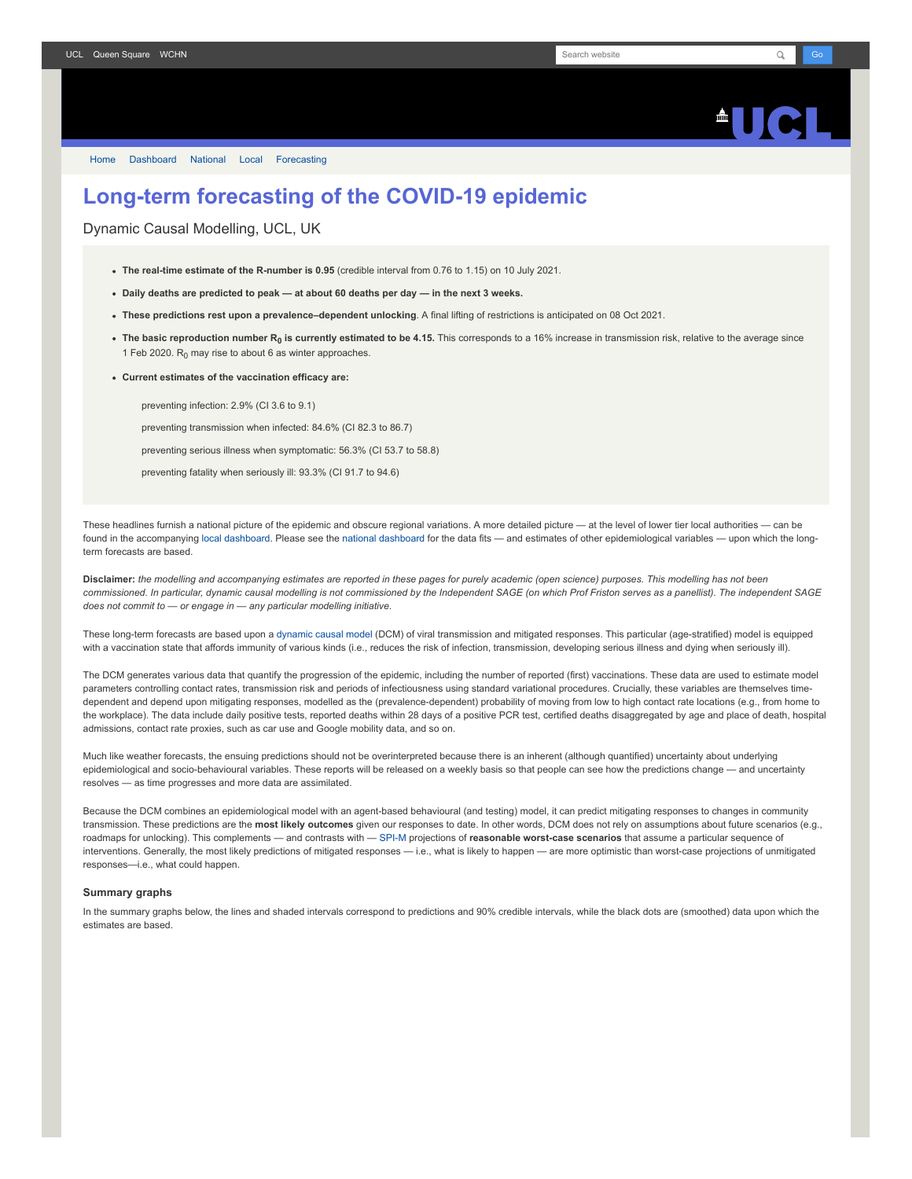## $\blacksquare$

[Home](https://www.fil.ion.ucl.ac.uk/spm/covid-19/) [Dashboard](https://www.fil.ion.ucl.ac.uk/spm/covid-19/dashboard/) [National](https://www.fil.ion.ucl.ac.uk/spm/covid-19/dashboard/) [Local](https://www.fil.ion.ucl.ac.uk/spm/covid-19/dashboard/local/) [Forecasting](https://www.fil.ion.ucl.ac.uk/spm/covid-19/forecasting/)

## **Long-term forecasting of the COVID-19 epidemic**

Dynamic Causal Modelling, UCL, UK

- **The real-time estimate of the R-number is 0.95** (credible interval from 0.76 to 1.15) on 10 July 2021.
- **Daily deaths are predicted to peak at about 60 deaths per day in the next 3 weeks.**
- **These predictions rest upon a prevalence–dependent unlocking**. A final lifting of restrictions is anticipated on 08 Oct 2021.
- **The basic reproduction number R<sup>0</sup> is currently estimated to be 4.15.** This corresponds to a 16% increase in transmission risk, relative to the average since 1 Feb 2020.  $R_0$  may rise to about 6 as winter approaches.
- **Current estimates of the vaccination efficacy are:**

preventing infection: 2.9% (CI 3.6 to 9.1)

preventing transmission when infected: 84.6% (CI 82.3 to 86.7)

preventing serious illness when symptomatic: 56.3% (CI 53.7 to 58.8)

preventing fatality when seriously ill: 93.3% (CI 91.7 to 94.6)

These headlines furnish a national picture of the epidemic and obscure regional variations. A more detailed picture — at the level of lower tier local authorities — can be found in the accompanying [local dashboard](https://www.fil.ion.ucl.ac.uk/spm/covid-19/dashboard/local/). Please see the [national dashboard](https://www.fil.ion.ucl.ac.uk/spm/covid-19/dashboard/) for the data fits - and estimates of other epidemiological variables - upon which the longterm forecasts are based.

**Disclaimer:** *the modelling and accompanying estimates are reported in these pages for purely academic (open science) purposes. This modelling has not been commissioned. In particular, dynamic causal modelling is not commissioned by the Independent SAGE (on which Prof Friston serves as a panellist). The independent SAGE does not commit to — or engage in — any particular modelling initiative.*

These long-term forecasts are based upon a [dynamic causal model](https://www.fil.ion.ucl.ac.uk/spm/covid-19) (DCM) of viral transmission and mitigated responses. This particular (age-stratified) model is equipped with a vaccination state that affords immunity of various kinds (i.e., reduces the risk of infection, transmission, developing serious illness and dying when seriously ill).

The DCM generates various data that quantify the progression of the epidemic, including the number of reported (first) vaccinations. These data are used to estimate model parameters controlling contact rates, transmission risk and periods of infectiousness using standard variational procedures. Crucially, these variables are themselves timedependent and depend upon mitigating responses, modelled as the (prevalence-dependent) probability of moving from low to high contact rate locations (e.g., from home to the workplace). The data include daily positive tests, reported deaths within 28 days of a positive PCR test, certified deaths disaggregated by age and place of death, hospital admissions, contact rate proxies, such as car use and Google mobility data, and so on.

Much like weather forecasts, the ensuing predictions should not be overinterpreted because there is an inherent (although quantified) uncertainty about underlying epidemiological and socio-behavioural variables. These reports will be released on a weekly basis so that people can see how the predictions change - and uncertainty resolves — as time progresses and more data are assimilated.

Because the DCM combines an epidemiological model with an agent-based behavioural (and testing) model, it can predict mitigating responses to changes in community transmission. These predictions are the **most likely outcomes** given our responses to date. In other words, DCM does not rely on assumptions about future scenarios (e.g., roadmaps for unlocking). This complements — and contrasts with — [SPI-M](https://www.gov.uk/government/groups/scientific-pandemic-influenza-subgroup-on-modelling) projections of reasonable worst-case scenarios that assume a particular sequence of interventions. Generally, the most likely predictions of mitigated responses — i.e., what is likely to happen — are more optimistic than worst-case projections of unmitigated responses—i.e., what could happen.

## **Summary graphs**

In the summary graphs below, the lines and shaded intervals correspond to predictions and 90% credible intervals, while the black dots are (smoothed) data upon which the estimates are based.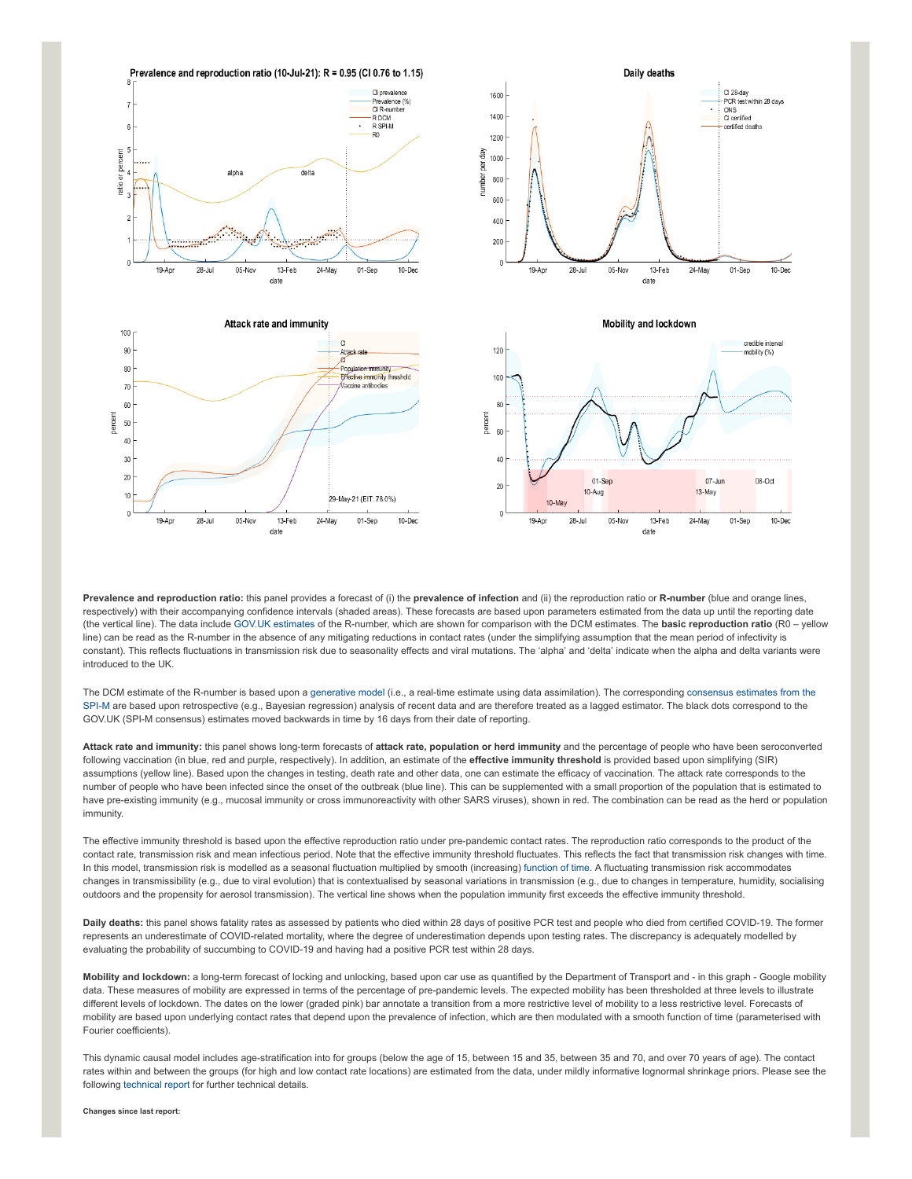

**Prevalence and reproduction ratio:** this panel provides a forecast of (i) the **prevalence of infection** and (ii) the reproduction ratio or **R-number** (blue and orange lines, respectively) with their accompanying confidence intervals (shaded areas). These forecasts are based upon parameters estimated from the data up until the reporting date (the vertical line). The data include [GOV.UK estimates](https://www.gov.uk/guidance/the-r-number-in-the-uk#latest-r-and-growth-rate) of the R-number, which are shown for comparison with the DCM estimates. The **basic reproduction ratio** (R0 – yellow line) can be read as the R-number in the absence of any mitigating reductions in contact rates (under the simplifying assumption that the mean period of infectivity is constant). This reflects fluctuations in transmission risk due to seasonality effects and viral mutations. The 'alpha' and 'delta' indicate when the alpha and delta variants were introduced to the UK.

[The DCM estimate of the R-number is based upon a g](https://www.gov.uk/guidance/the-r-number-in-the-uk#contents)[enerative mode](https://en.wikipedia.org/wiki/Generative_model)[l \(i.e., a real-time estimate using data assimilation\). The corresponding consensus estimates from the](https://www.gov.uk/guidance/the-r-number-in-the-uk#contents) SPI-M are based upon retrospective (e.g., Bayesian regression) analysis of recent data and are therefore treated as a lagged estimator. The black dots correspond to the GOV.UK (SPI-M consensus) estimates moved backwards in time by 16 days from their date of reporting.

**Attack rate and immunity:** this panel shows long-term forecasts of **attack rate, population or herd immunity** and the percentage of people who have been seroconverted following vaccination (in blue, red and purple, respectively). In addition, an estimate of the **effective immunity threshold** is provided based upon simplifying (SIR) assumptions (yellow line). Based upon the changes in testing, death rate and other data, one can estimate the efficacy of vaccination. The attack rate corresponds to the number of people who have been infected since the onset of the outbreak (blue line). This can be supplemented with a small proportion of the population that is estimated to have pre-existing immunity (e.g., mucosal immunity or cross immunoreactivity with other SARS viruses), shown in red. The combination can be read as the herd or population immunity.

The effective immunity threshold is based upon the effective reproduction ratio under pre-pandemic contact rates. The reproduction ratio corresponds to the product of the contact rate, transmission risk and mean infectious period. Note that the effective immunity threshold fluctuates. This reflects the fact that transmission risk changes with time. In this model, transmission risk is modelled as a seasonal fluctuation multiplied by smooth (increasing) [function of time.](https://www.medrxiv.org/content/10.1101/2021.01.10.21249520v1) A fluctuating transmission risk accommodates changes in transmissibility (e.g., due to viral evolution) that is contextualised by seasonal variations in transmission (e.g., due to changes in temperature, humidity, socialising outdoors and the propensity for aerosol transmission). The vertical line shows when the population immunity first exceeds the effective immunity threshold.

**Daily deaths:** this panel shows fatality rates as assessed by patients who died within 28 days of positive PCR test and people who died from certified COVID-19. The former represents an underestimate of COVID-related mortality, where the degree of underestimation depends upon testing rates. The discrepancy is adequately modelled by evaluating the probability of succumbing to COVID-19 and having had a positive PCR test within 28 days.

**Mobility and lockdown:** a long-term forecast of locking and unlocking, based upon car use as quantified by the Department of Transport and - in this graph - Google mobility data. These measures of mobility are expressed in terms of the percentage of pre-pandemic levels. The expected mobility has been thresholded at three levels to illustrate different levels of lockdown. The dates on the lower (graded pink) bar annotate a transition from a more restrictive level of mobility to a less restrictive level. Forecasts of mobility are based upon underlying contact rates that depend upon the prevalence of infection, which are then modulated with a smooth function of time (parameterised with Fourier coefficients).

This dynamic causal model includes age-stratification into for groups (below the age of 15, between 15 and 35, between 35 and 70, and over 70 years of age). The contact rates within and between the groups (for high and low contact rate locations) are estimated from the data, under mildly informative lognormal shrinkage priors. Please see the following [technical report](https://arxiv.org/abs/2011.12400) for further technical details.

**Changes since last report:**